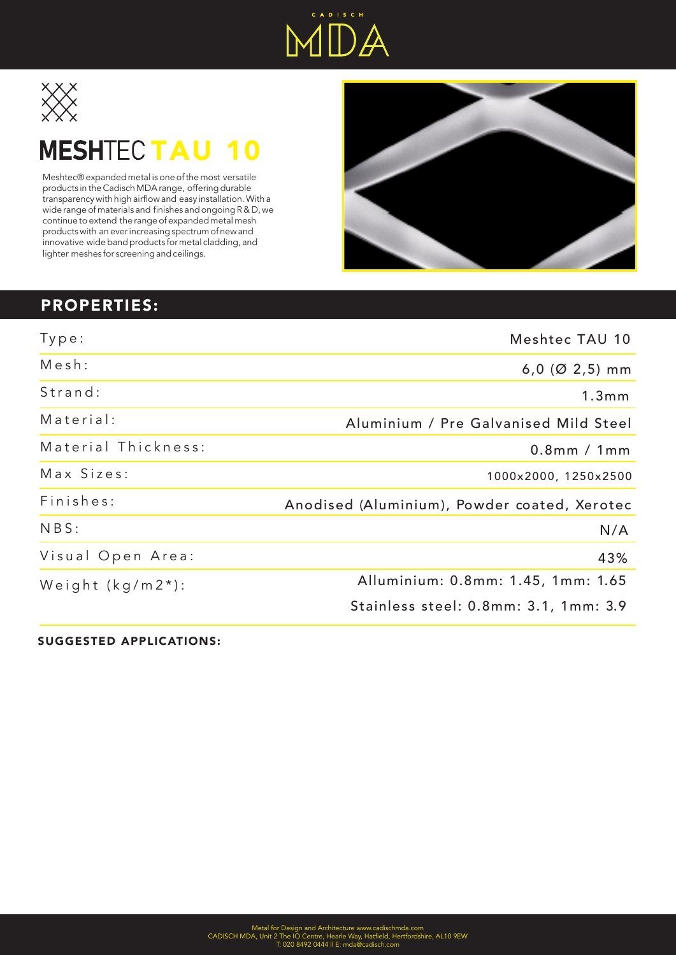



## **MESHTECTAU 10**

Meshtec® expanded metal is one of the most versatile products in the Cadisch MDA range, offering durable transparency with high airflow and easy installation. With a wide range of materials and finishes and ongoing R & D, we continue to extend the range of expanded metal mesh products with an ever increasing spectrum of new and innovative wide band products for metal cladding, and lighter meshes for screening and ceilings.



## PROPERTIES:

| Type:                | Meshtec TAU 10                                      |
|----------------------|-----------------------------------------------------|
| Mesh:                | $6,0$ (Ø 2,5) mm                                    |
| Strand:              | 1.3mm                                               |
| Material:            | Aluminium / Pre Galvanised Mild Steel               |
| Material Thickness:  | $0.8$ mm / 1mm                                      |
| Max Sizes:           | 1000x2000, 1250x2500                                |
| Finishes:            | Anodised (Aluminium), Powder coated, Specialist PPC |
| NBS:                 | N/A                                                 |
| Visual Open Area:    | 43%                                                 |
| Weight $(kg/m2^*)$ : | Aluminium: 0.8mm: 1.45, 1mm: 1.65                   |
|                      | Mild Steel: 0.8mm: 3.1, 1mm: 3.9                    |

SUGGESTED APPLICATIONS: